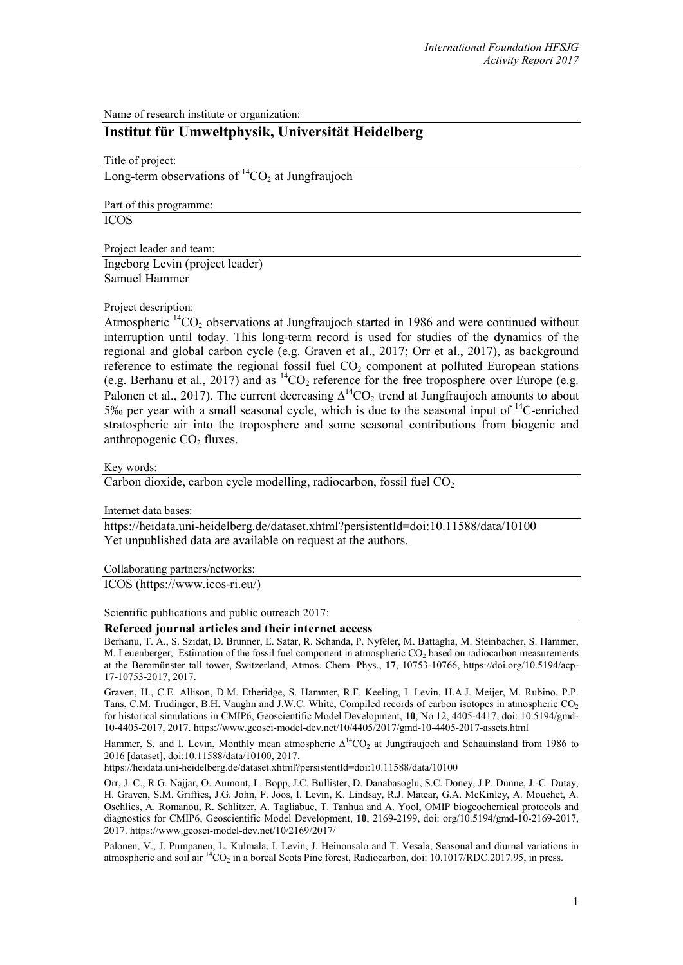Name of research institute or organization:

## **Institut für Umweltphysik, Universität Heidelberg**

Title of project:

Long-term observations of  ${}^{14}CO_2$  at Jungfraujoch

Part of this programme:

ICOS

Project leader and team:

Ingeborg Levin (project leader) Samuel Hammer

## Project description:

Atmospheric  $\frac{14}{1002}$  observations at Jungfraujoch started in 1986 and were continued without interruption until today. This long-term record is used for studies of the dynamics of the regional and global carbon cycle (e.g. Graven et al., 2017; Orr et al., 2017), as background reference to estimate the regional fossil fuel CO<sub>2</sub> component at polluted European stations (e.g. Berhanu et al., 2017) and as  ${}^{14}CO_2$  reference for the free troposphere over Europe (e.g. Palonen et al., 2017). The current decreasing  $\Delta^{14}CO_2$  trend at Jungfraujoch amounts to about 5‰ per year with a small seasonal cycle, which is due to the seasonal input of  $^{14}$ C-enriched stratospheric air into the troposphere and some seasonal contributions from biogenic and anthropogenic  $CO<sub>2</sub>$  fluxes.

Key words:

Carbon dioxide, carbon cycle modelling, radiocarbon, fossil fuel  $CO<sub>2</sub>$ 

Internet data bases:

<https://heidata.uni-heidelberg.de/dataset.xhtml?persistentId=doi:10.11588/data/10100> Yet unpublished data are available on request at the authors.

Collaborating partners/networks:

ICOS (https://www.icos-ri.eu/)

Scientific publications and public outreach 2017:

## **Refereed journal articles and their internet access**

Berhanu, T. A., S. Szidat, D. Brunner, E. Satar, R. Schanda, P. Nyfeler, M. Battaglia, M. Steinbacher, S. Hammer, M. Leuenberger, Estimation of the fossil fuel component in atmospheric  $CO<sub>2</sub>$  based on radiocarbon measurements at the Beromünster tall tower, Switzerland, Atmos. Chem. Phys., **17**, 10753-10766, https://doi.org/10.5194/acp-17-10753-2017, 2017.

Graven, H., C.E. Allison, D.M. Etheridge, S. Hammer, R.F. Keeling, I. Levin, H.A.J. Meijer, M. Rubino, P.P. Tans, C.M. Trudinger, B.H. Vaughn and J.W.C. White, Compiled records of carbon isotopes in atmospheric CO<sub>2</sub> for historical simulations in CMIP6, Geoscientific Model Development, **10**, No 12, 4405-4417, doi: 10.5194/gmd-10-4405-2017, 2017. https://www.geosci-model-dev.net/10/4405/2017/gmd-10-4405-2017-assets.html

Hammer, S. and I. Levin, Monthly mean atmospheric  $\Delta^{14}CO_2$  at Jungfraujoch and Schauinsland from 1986 to 2016 [dataset][, doi:10.11588/data/10100,](http://dx.doi.org/10.11588/data/10100) 2017.

https://heidata.uni-heidelberg.de/dataset.xhtml?persistentId=doi:10.11588/data/10100

Orr, J. C., R.G. Najjar, O. Aumont, L. Bopp, J.C. Bullister, D. Danabasoglu, S.C. Doney, J.P. Dunne, J.-C. Dutay, H. Graven, S.M. Griffies, J.G. John, F. Joos, I. Levin, K. Lindsay, R.J. Matear, G.A. McKinley, A. Mouchet, A. Oschlies, A. Romanou, R. Schlitzer, A. Tagliabue, T. Tanhua and A. Yool, OMIP biogeochemical protocols and diagnostics for CMIP6, Geoscientific Model Development, **10**, 2169-2199, doi: org/10.5194/gmd-10-2169-2017, 2017. https://www.geosci-model-dev.net/10/2169/2017/

Palonen, V., J. Pumpanen, L. Kulmala, I. Levin, J. Heinonsalo and T. Vesala, Seasonal and diurnal variations in atmospheric and soil air <sup>14</sup>CO<sub>2</sub> in a boreal Scots Pine forest, Radiocarbon, doi: 10.1017/RDC.2017.95, in press.